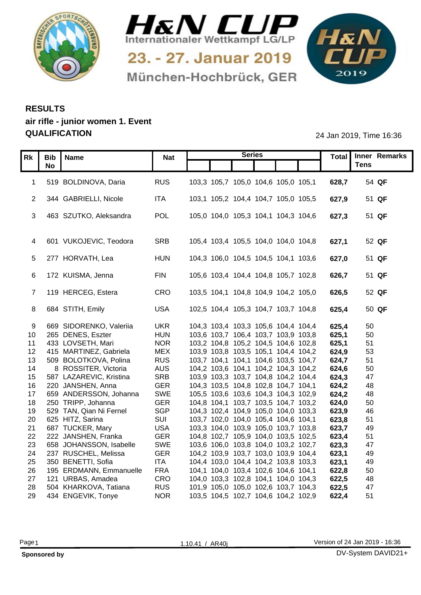



München-Hochbrück, GER

1&N 

## **RESULTS air rifle - junior women 1. Event QUALIFICATION** 24 Jan 2019, Time 16:36

|    |                                                    |                          | <b>Series</b>                                                              |                | Total Inner Remarks |
|----|----------------------------------------------------|--------------------------|----------------------------------------------------------------------------|----------------|---------------------|
|    | Rk   Bib   Name<br><b>No</b>                       | <b>Nat</b>               |                                                                            |                | <b>Tens</b>         |
|    |                                                    |                          |                                                                            |                |                     |
|    | 1 519 BOLDINOVA, Daria                             | <b>RUS</b>               | 103,3 105,7 105,0 104,6 105,0 105,1                                        | 628,7          | 54 QF               |
|    |                                                    |                          |                                                                            |                |                     |
|    | 2 344 GABRIELLI, Nicole                            | ITA                      | 103,1 105,2 104,4 104,7 105,0 105,5                                        | 627,9          | 51 QF               |
|    |                                                    |                          |                                                                            |                |                     |
|    | 3 463 SZUTKO, Aleksandra                           | POL                      | 105,0 104,0 105,3 104,1 104,3 104,6                                        | 627,3          | 51 QF               |
|    |                                                    |                          |                                                                            |                |                     |
|    | 4 601 VUKOJEVIC, Teodora                           | SRB                      | 105,4 103,4 105,5 104,0 104,0 104,8                                        | 627,1          | 52 QF               |
|    |                                                    |                          |                                                                            |                |                     |
|    | 5 277 HORVATH, Lea                                 | <b>HUN</b>               | 104,3 106,0 104,5 104,5 104,1 103,6                                        | 627,0          | 51 QF               |
|    |                                                    |                          |                                                                            |                |                     |
|    | 6 172 KUISMA, Jenna                                | <b>FIN</b>               | 105,6 103,4 104,4 104,8 105,7 102,8                                        | 626,7          | 51 QF               |
|    |                                                    |                          |                                                                            |                |                     |
|    | 7 119 HERCEG, Estera                               | CRO                      | 103,5 104,1 104,8 104,9 104,2 105,0                                        | 626,5          | 52 QF               |
|    |                                                    |                          |                                                                            |                |                     |
|    | 8 684 STITH, Emily                                 | USA                      | 102,5 104,4 105,3 104,7 103,7 104,8                                        | 625,4          | 50 QF               |
|    |                                                    |                          |                                                                            |                |                     |
|    | 9 669 SIDORENKO, Valeriia                          | <b>UKR</b>               | 104,3 103,4 103,3 105,6 104,4 104,4                                        | 625,4          | 50                  |
|    | 10 265 DENES, Eszter                               | <b>HUN</b>               | 103,6 103,7 106,4 103,7 103,9 103,8                                        | 625,1          | 50                  |
|    | 11 433 LOVSETH, Mari                               | <b>NOR</b>               | 103,2 104,8 105,2 104,5 104,6 102,8                                        | 625,1          | 51                  |
|    | 12 415 MARTINEZ, Gabriela                          | <b>MEX</b>               | 103,9 103,8 103,5 105,1 104,4 104,2                                        | 624,9          | 53                  |
|    | 13 509 BOLOTKOVA, Polina                           | <b>RUS</b>               | 103,7 104,1 104,1 104,6 103,5 104,7                                        | 624,7          | -51                 |
| 14 | 8 ROSSITER, Victoria<br>15 587 LAZAREVIC, Kristina | <b>AUS</b><br><b>SRB</b> | 104,2 103,6 104,1 104,2 104,3 104,2                                        | 624,6          | 50                  |
|    | 16 220 JANSHEN, Anna                               | <b>GER</b>               | 103,9 103,3 103,7 104,8 104,2 104,4<br>104,3 103,5 104,8 102,8 104,7 104,1 | 624,3<br>624,2 | 47<br>48            |
| 17 | 659 ANDERSSON, Johanna                             | SWE                      | 105,5 103,6 103,6 104,3 104,3 102,9                                        | 624,2          | -48                 |
|    | 18 250 TRIPP, Johanna                              | <b>GER</b>               | 104,8 104,1 103,7 103,5 104,7 103,2                                        | 624,0          | 50                  |
|    | 19 529 TAN, Qian Ni Fernel                         | <b>SGP</b>               | 104,3 102,4 104,9 105,0 104,0 103,3                                        | 623,9          | 46                  |
|    | 20 625 HITZ, Sarina                                | SUI                      | 103,7 102,0 104,0 105,4 104,6 104,1                                        | 623,8          | 51                  |
|    | 21 687 TUCKER, Mary                                | <b>USA</b>               | 103,3 104,0 103,9 105,0 103,7 103,8                                        | 623,7          | 49                  |
|    | 22 222 JANSHEN, Franka                             | <b>GER</b>               | 104,8 102,7 105,9 104,0 103,5 102,5                                        | 623,4          | 51                  |
| 23 | 658 JOHANSSON, Isabelle                            | SWE                      | 103,6 106,0 103,8 104,0 103,2 102,7                                        | 623,3          | 47                  |
|    | 24 237 RUSCHEL, Melissa                            | <b>GER</b>               | 104,2 103,9 103,7 103,0 103,9 104,4                                        | 623,1          | 49                  |
|    | 25 350 BENETTI, Sofia                              | <b>ITA</b>               | 104,4 103,0 104,4 104,2 103,8 103,3                                        | 623,1          | 49                  |
|    | 26 195 ERDMANN, Emmanuelle                         | <b>FRA</b>               | 104,1 104,0 103,4 102,6 104,6 104,1                                        | 622,8          | 50                  |
|    | 27 121 URBAS, Amadea                               | CRO                      | 104,0 103,3 102,8 104,1 104,0 104,3                                        | 622,5          | 48                  |
| 28 | 504 KHARKOVA, Tatiana                              | <b>RUS</b>               | 101,9 105,0 105,0 102,6 103,7 104,3                                        | 622,5          | 47                  |
|    | 29 434 ENGEVIK, Tonye                              | <b>NOR</b>               | 103,5 104,5 102,7 104,6 104,2 102,9                                        | 622,4          | 51                  |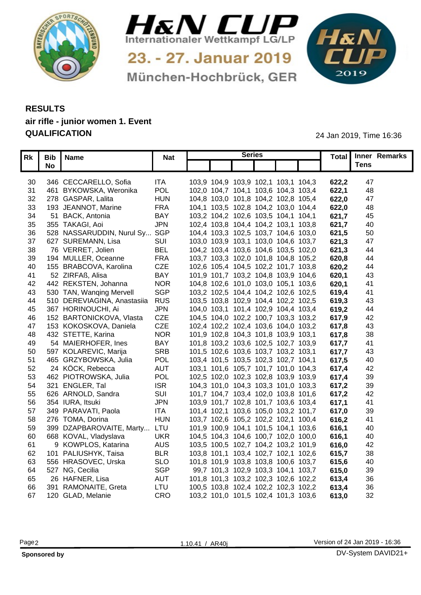



München-Hochbrück, GER

1&N 

## **RESULTS air rifle - junior women 1. Event QUALIFICATION** 24 Jan 2019, Time 16:36

|     | Rk   Bib   Name                 | <b>Nat</b> | <b>Series</b>                       |  |       | Total Inner Remarks |  |
|-----|---------------------------------|------------|-------------------------------------|--|-------|---------------------|--|
|     | <b>No</b>                       |            |                                     |  |       | <b>Tens</b>         |  |
|     |                                 |            |                                     |  |       |                     |  |
| 30  | 346 CECCARELLO, Sofia           | ITA        | 103,9 104,9 103,9 102,1 103,1 104,3 |  | 622,2 | -47                 |  |
| 31  | 461 BYKOWSKA, Weronika          | POL        | 102,0 104,7 104,1 103,6 104,3 103,4 |  | 622,1 | 48                  |  |
|     | 32 278 GASPAR, Lalita           | <b>HUN</b> | 104,8 103,0 101,8 104,2 102,8 105,4 |  | 622,0 | -47                 |  |
| 33  | 193 JEANNOT, Marine             | <b>FRA</b> | 104,1 103,5 102,8 104,2 103,0 104,4 |  | 622,0 | 48                  |  |
| 34  | 51 BACK, Antonia                | <b>BAY</b> | 103,2 104,2 102,6 103,5 104,1 104,1 |  | 621,7 | 45                  |  |
| 35  | 355 TAKAGI, Aoi                 | <b>JPN</b> | 102,4 103,8 104,4 104,2 103,1 103,8 |  | 621,7 | 40                  |  |
| 36  | 528 NASSARUDDIN, Nurul Sy       | SGP        | 104,4 103,3 102,5 103,7 104,6 103,0 |  | 621,5 | 50                  |  |
| 37  | 627 SUREMANN, Lisa              | SUI        | 103,0 103,9 103,1 103,0 104,6 103,7 |  | 621,3 | -47                 |  |
| -38 | 76 VERRET, Jolien               | <b>BEL</b> | 104,2 103,4 103,6 104,6 103,5 102,0 |  | 3,621 | 44                  |  |
| 39  | 194 MULLER, Oceanne             | <b>FRA</b> | 103,7 103,3 102,0 101,8 104,8 105,2 |  | 620,8 | 44                  |  |
| 40  | 155 BRABCOVA, Karolina          | <b>CZE</b> | 102,6 105,4 104,5 102,2 101,7 103,8 |  | 620,2 | 44                  |  |
| 41  | 52 ZIRFAß, Alisa                | <b>BAY</b> | 101,9 101,7 103,2 104,8 103,9 104,6 |  | 620,1 | 43                  |  |
| 42  | 442 REKSTEN, Johanna            | <b>NOR</b> | 104,8 102,6 101,0 103,0 105,1 103,6 |  | 620,1 | -41                 |  |
| 43  | 530 TAN, Wanqing Mervell        | <b>SGP</b> | 103,2 102,5 104,4 104,2 102,6 102,5 |  | 619.4 | 4 <sup>′</sup>      |  |
| 44  | 510 DEREVIAGINA, Anastasiia RUS |            | 103,5 103,8 102,9 104,4 102,2 102,5 |  | 619,3 | 43                  |  |
| 45  | 367 HORINOUCHI, Ai              | <b>JPN</b> | 104,0 103,1 101,4 102,9 104,4 103,4 |  | 619,2 | 44                  |  |
| 46  | 152 BARTONICKOVA, Vlasta        | <b>CZE</b> | 104,5 104,0 102,2 100,7 103,3 103,2 |  | 617,9 | 42                  |  |
| 47  | 153 KOKOSKOVA, Daniela          | CZE        | 102,4 102,2 102,4 103,6 104,0 103,2 |  | 617,8 | 43                  |  |
| 48  | 432 STETTE, Karina              | <b>NOR</b> | 101,9 102,8 104,3 101,8 103,9 103,1 |  | 617.8 | 38                  |  |
| 49  | 54 MAIERHOFER, Ines             | <b>BAY</b> | 101,8 103,2 103,6 102,5 102,7 103,9 |  | 617,7 | -41                 |  |
| 50  | 597 KOLAREVIC, Marija           | <b>SRB</b> | 101,5 102,6 103,6 103,7 103,2 103,1 |  | 617.7 | 43                  |  |
| 51  | 465 GRZYBOWSKA, Julia           | POL        | 103,4 101,5 103,5 102,3 102,7 104,1 |  | 617,5 | 40                  |  |
| 52  | 24 KÖCK, Rebecca                | <b>AUT</b> | 103,1 101,6 105,7 101,7 101,0 104,3 |  | 617.4 | 42                  |  |
| 53  | 462 PIOTROWSKA, Julia           | POL        | 102,5 102,0 102,3 102,8 103,9 103,9 |  | 617.4 | 39                  |  |
| 54  | 321 ENGLER, Tal                 | <b>ISR</b> | 104,3 101,0 104,3 103,3 101,0 103,3 |  | 617,2 | 39                  |  |
| 55  | 626 ARNOLD, Sandra              | SUI        | 101,7 104,7 103,4 102,0 103,8 101,6 |  | 617,2 | 42                  |  |
| 56  | 354 IURA, Itsuki                | <b>JPN</b> | 103,9 101,7 102,8 101,7 103,6 103,4 |  | 617.1 | -41                 |  |
| 57  | 349 PARAVATI, Paola             | <b>ITA</b> | 101,4 102,1 103,6 105,0 103,2 101,7 |  | 617.0 | 39                  |  |
| 58  | 276 TOMA, Dorina                | <b>HUN</b> | 103,7 102,6 105,2 102,2 102,1 100,4 |  | 616,2 | 4 <sup>′</sup>      |  |
| 59  | 399 DZAPBAROVAITE, Marty LTU    |            | 101,9 100,9 104,1 101,5 104,1 103,6 |  | 616.1 | 40                  |  |
| 60  | 668 KOVAL, Vladyslava           | <b>UKR</b> | 104,5 104,3 104,6 100,7 102,0 100,0 |  | 616,1 | 40                  |  |
| 61  | 9 KOWPLOS, Katarina             | <b>AUS</b> | 103,5 100,5 102,7 104,2 103,2 101,9 |  | 616,0 | 42                  |  |
| 62  | 101 PALIUSHYK, Taisa            | <b>BLR</b> | 103,8 101,1 103,4 102,7 102,1 102,6 |  | 615,7 | 38                  |  |
| 63  | 556 HRASOVEC, Urska             | <b>SLO</b> | 101,8 101,9 103,8 103,8 100,6 103,7 |  | 615,6 | 40                  |  |
|     | 64 527 NG, Cecilia              | <b>SGP</b> | 99,7 101,3 102,9 103,3 104,1 103,7  |  | 615,0 | 39                  |  |
| 65  | 26 HAFNER, Lisa                 | <b>AUT</b> | 101,8 101,3 103,2 102,3 102,6 102,2 |  | 613.4 | 36                  |  |
| 66  | 391 RAMONAITE, Greta            | LTU        | 100,5 103,8 102,4 102,2 102,3 102,2 |  | 613,4 | 36                  |  |
|     | 67 120 GLAD, Melanie            | <b>CRO</b> | 103,2 101,0 101,5 102,4 101,3 103,6 |  | 613,0 | 32                  |  |